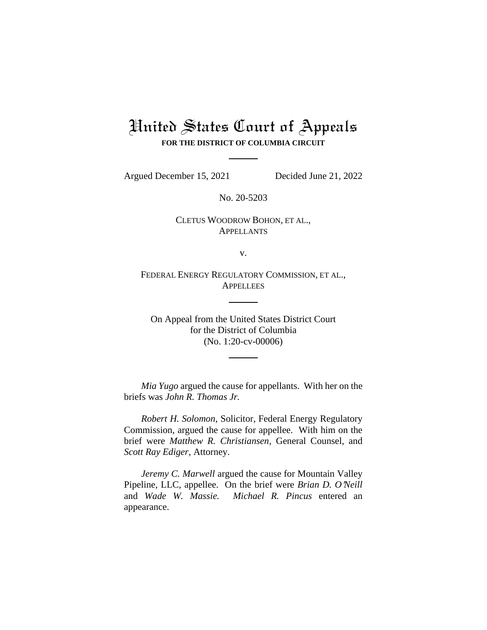# United States Court of Appeals **FOR THE DISTRICT OF COLUMBIA CIRCUIT**

Argued December 15, 2021 Decided June 21, 2022

No. 20-5203

CLETUS WOODROW BOHON, ET AL., APPELLANTS

v.

FEDERAL ENERGY REGULATORY COMMISSION, ET AL., **APPELLEES** 

On Appeal from the United States District Court for the District of Columbia (No. 1:20-cv-00006)

*Mia Yugo* argued the cause for appellants. With her on the briefs was *John R. Thomas Jr.* 

*Robert H. Solomon*, Solicitor, Federal Energy Regulatory Commission, argued the cause for appellee. With him on the brief were *Matthew R. Christiansen*, General Counsel, and *Scott Ray Ediger*, Attorney.

*Jeremy C. Marwell* argued the cause for Mountain Valley Pipeline, LLC, appellee. On the brief were *Brian D. O'Neill* and *Wade W. Massie. Michael R. Pincus* entered an appearance.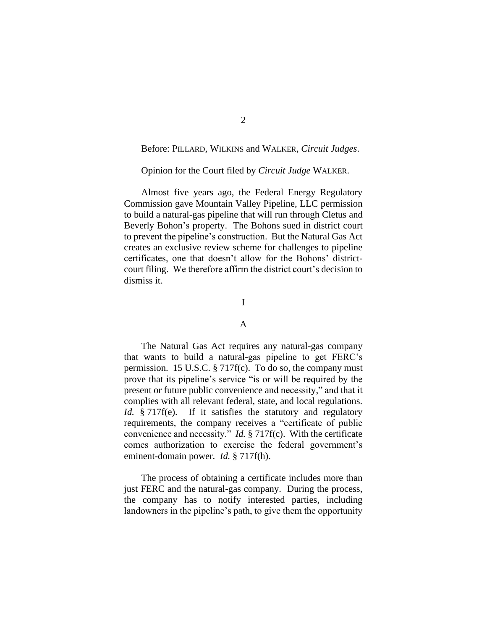## Before: PILLARD, WILKINS and WALKER, *Circuit Judges*.

# Opinion for the Court filed by *Circuit Judge* WALKER.

Almost five years ago, the Federal Energy Regulatory Commission gave Mountain Valley Pipeline, LLC permission to build a natural-gas pipeline that will run through Cletus and Beverly Bohon's property. The Bohons sued in district court to prevent the pipeline's construction. But the Natural Gas Act creates an exclusive review scheme for challenges to pipeline certificates, one that doesn't allow for the Bohons' districtcourt filing. We therefore affirm the district court's decision to dismiss it.

# I

## A

The Natural Gas Act requires any natural-gas company that wants to build a natural-gas pipeline to get FERC's permission. 15 U.S.C. § 717f(c). To do so, the company must prove that its pipeline's service "is or will be required by the present or future public convenience and necessity," and that it complies with all relevant federal, state, and local regulations. *Id.* § 717f(e). If it satisfies the statutory and regulatory requirements, the company receives a "certificate of public convenience and necessity." *Id.* § 717f(c). With the certificate comes authorization to exercise the federal government's eminent-domain power. *Id.* § 717f(h).

The process of obtaining a certificate includes more than just FERC and the natural-gas company. During the process, the company has to notify interested parties, including landowners in the pipeline's path, to give them the opportunity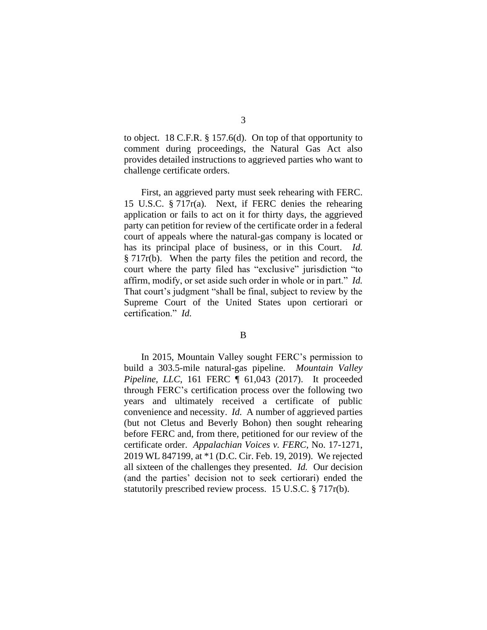to object. 18 C.F.R. § 157.6(d). On top of that opportunity to comment during proceedings, the Natural Gas Act also provides detailed instructions to aggrieved parties who want to challenge certificate orders.

First, an aggrieved party must seek rehearing with FERC. 15 U.S.C. § 717r(a). Next, if FERC denies the rehearing application or fails to act on it for thirty days, the aggrieved party can petition for review of the certificate order in a federal court of appeals where the natural-gas company is located or has its principal place of business, or in this Court. *Id.* § 717r(b). When the party files the petition and record, the court where the party filed has "exclusive" jurisdiction "to affirm, modify, or set aside such order in whole or in part." *Id.* That court's judgment "shall be final, subject to review by the Supreme Court of the United States upon certiorari or certification." *Id.*

### B

In 2015, Mountain Valley sought FERC's permission to build a 303.5-mile natural-gas pipeline. *Mountain Valley Pipeline, LLC*, 161 FERC ¶ 61,043 (2017). It proceeded through FERC's certification process over the following two years and ultimately received a certificate of public convenience and necessity. *Id.* A number of aggrieved parties (but not Cletus and Beverly Bohon) then sought rehearing before FERC and, from there, petitioned for our review of the certificate order. *Appalachian Voices v. FERC*, No. 17-1271, 2019 WL 847199, at \*1 (D.C. Cir. Feb. 19, 2019). We rejected all sixteen of the challenges they presented. *Id.* Our decision (and the parties' decision not to seek certiorari) ended the statutorily prescribed review process. 15 U.S.C. § 717r(b).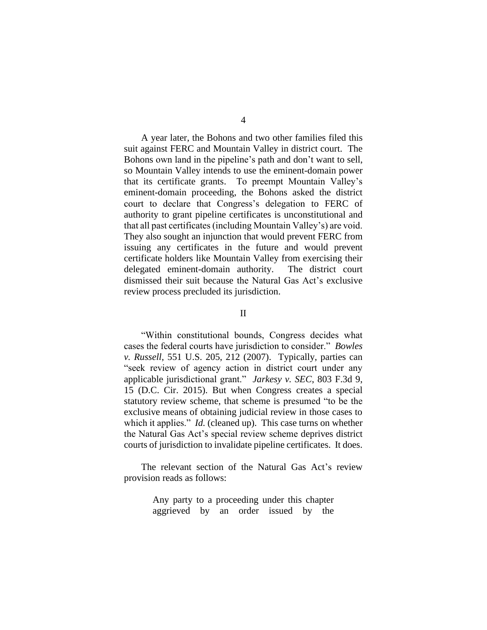A year later, the Bohons and two other families filed this suit against FERC and Mountain Valley in district court. The Bohons own land in the pipeline's path and don't want to sell, so Mountain Valley intends to use the eminent-domain power that its certificate grants. To preempt Mountain Valley's eminent-domain proceeding, the Bohons asked the district court to declare that Congress's delegation to FERC of authority to grant pipeline certificates is unconstitutional and that all past certificates (including Mountain Valley's) are void. They also sought an injunction that would prevent FERC from issuing any certificates in the future and would prevent certificate holders like Mountain Valley from exercising their delegated eminent-domain authority. The district court dismissed their suit because the Natural Gas Act's exclusive review process precluded its jurisdiction.

#### II

"Within constitutional bounds, Congress decides what cases the federal courts have jurisdiction to consider." *Bowles v. Russell*, 551 U.S. 205, 212 (2007). Typically, parties can "seek review of agency action in district court under any applicable jurisdictional grant." *Jarkesy v. SEC*, 803 F.3d 9, 15 (D.C. Cir. 2015). But when Congress creates a special statutory review scheme, that scheme is presumed "to be the exclusive means of obtaining judicial review in those cases to which it applies." *Id.* (cleaned up). This case turns on whether the Natural Gas Act's special review scheme deprives district courts of jurisdiction to invalidate pipeline certificates. It does.

The relevant section of the Natural Gas Act's review provision reads as follows:

> Any party to a proceeding under this chapter aggrieved by an order issued by the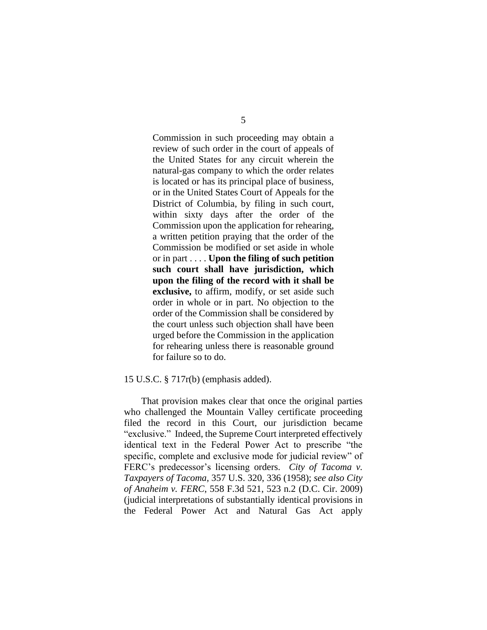5

Commission in such proceeding may obtain a review of such order in the court of appeals of the United States for any circuit wherein the natural-gas company to which the order relates is located or has its principal place of business, or in the United States Court of Appeals for the District of Columbia, by filing in such court, within sixty days after the order of the Commission upon the application for rehearing, a written petition praying that the order of the Commission be modified or set aside in whole or in part . . . . **Upon the filing of such petition such court shall have jurisdiction, which upon the filing of the record with it shall be exclusive,** to affirm, modify, or set aside such order in whole or in part. No objection to the order of the Commission shall be considered by the court unless such objection shall have been urged before the Commission in the application for rehearing unless there is reasonable ground for failure so to do.

#### 15 U.S.C. § 717r(b) (emphasis added).

That provision makes clear that once the original parties who challenged the Mountain Valley certificate proceeding filed the record in this Court, our jurisdiction became "exclusive." Indeed, the Supreme Court interpreted effectively identical text in the Federal Power Act to prescribe "the specific, complete and exclusive mode for judicial review" of FERC's predecessor's licensing orders. *City of Tacoma v. Taxpayers of Tacoma*, 357 U.S. 320, 336 (1958); *see also City of Anaheim v. FERC*, 558 F.3d 521, 523 n.2 (D.C. Cir. 2009) (judicial interpretations of substantially identical provisions in the Federal Power Act and Natural Gas Act apply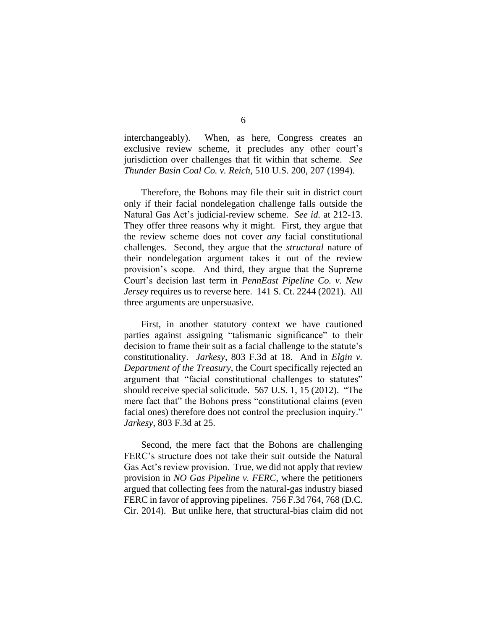interchangeably). When, as here, Congress creates an exclusive review scheme, it precludes any other court's jurisdiction over challenges that fit within that scheme. *See Thunder Basin Coal Co. v. Reich*, 510 U.S. 200, 207 (1994).

Therefore, the Bohons may file their suit in district court only if their facial nondelegation challenge falls outside the Natural Gas Act's judicial-review scheme. *See id.* at 212-13. They offer three reasons why it might. First, they argue that the review scheme does not cover *any* facial constitutional challenges. Second, they argue that the *structural* nature of their nondelegation argument takes it out of the review provision's scope. And third, they argue that the Supreme Court's decision last term in *PennEast Pipeline Co. v. New Jersey* requires us to reverse here. 141 S. Ct. 2244 (2021). All three arguments are unpersuasive.

First, in another statutory context we have cautioned parties against assigning "talismanic significance" to their decision to frame their suit as a facial challenge to the statute's constitutionality. *Jarkesy*, 803 F.3d at 18. And in *Elgin v. Department of the Treasury*, the Court specifically rejected an argument that "facial constitutional challenges to statutes" should receive special solicitude. 567 U.S. 1, 15 (2012). "The mere fact that" the Bohons press "constitutional claims (even facial ones) therefore does not control the preclusion inquiry." *Jarkesy*, 803 F.3d at 25.

Second, the mere fact that the Bohons are challenging FERC's structure does not take their suit outside the Natural Gas Act's review provision. True, we did not apply that review provision in *NO Gas Pipeline v. FERC*, where the petitioners argued that collecting fees from the natural-gas industry biased FERC in favor of approving pipelines. 756 F.3d 764, 768 (D.C. Cir. 2014). But unlike here, that structural-bias claim did not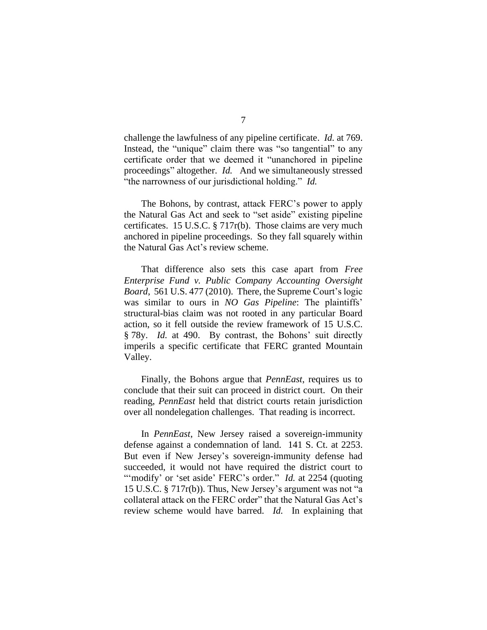challenge the lawfulness of any pipeline certificate. *Id.* at 769. Instead, the "unique" claim there was "so tangential" to any certificate order that we deemed it "unanchored in pipeline proceedings" altogether. *Id.* And we simultaneously stressed "the narrowness of our jurisdictional holding." *Id.*

The Bohons, by contrast, attack FERC's power to apply the Natural Gas Act and seek to "set aside" existing pipeline certificates. 15 U.S.C. § 717r(b). Those claims are very much anchored in pipeline proceedings.So they fall squarely within the Natural Gas Act's review scheme.

That difference also sets this case apart from *Free Enterprise Fund v. Public Company Accounting Oversight Board*, 561 U.S. 477 (2010). There, the Supreme Court's logic was similar to ours in *NO Gas Pipeline*: The plaintiffs' structural-bias claim was not rooted in any particular Board action, so it fell outside the review framework of 15 U.S.C. § 78y. *Id.* at 490. By contrast, the Bohons' suit directly imperils a specific certificate that FERC granted Mountain Valley.

Finally, the Bohons argue that *PennEast*, requires us to conclude that their suit can proceed in district court. On their reading, *PennEast* held that district courts retain jurisdiction over all nondelegation challenges. That reading is incorrect.

In *PennEast*, New Jersey raised a sovereign-immunity defense against a condemnation of land. 141 S. Ct. at 2253. But even if New Jersey's sovereign-immunity defense had succeeded, it would not have required the district court to "modify' or 'set aside' FERC's order." *Id.* at 2254 (quoting 15 U.S.C. § 717r(b)). Thus, New Jersey's argument was not "a collateral attack on the FERC order" that the Natural Gas Act's review scheme would have barred. *Id.* In explaining that